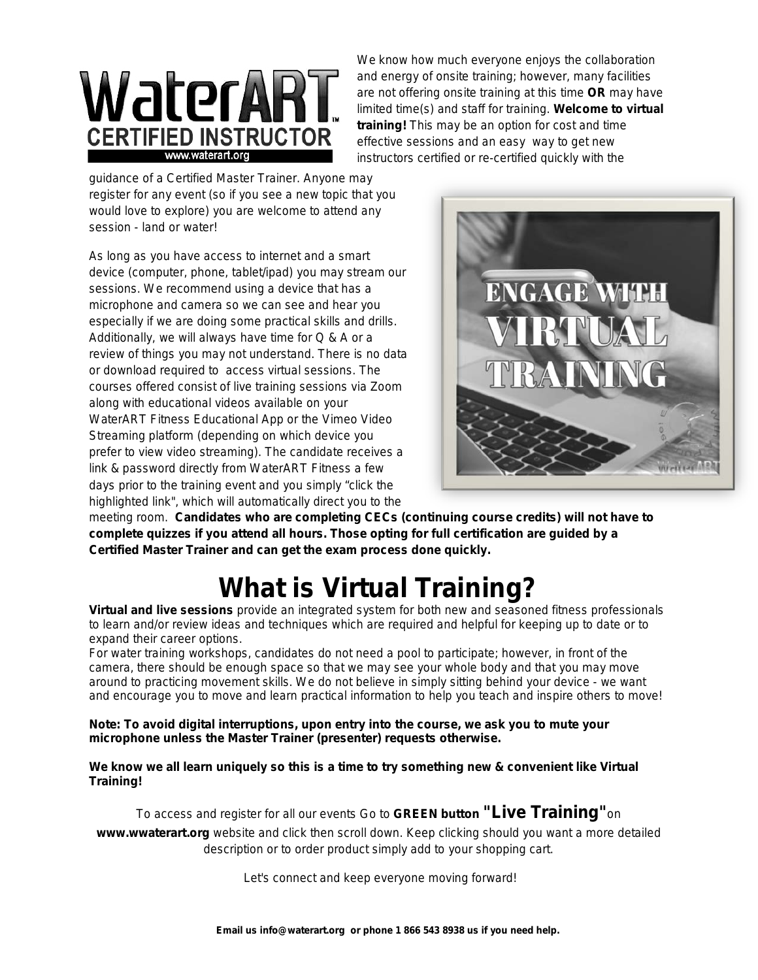

We know how much everyone enjoys the collaboration and energy of onsite training; however, many facilities are not offering onsite training at this time **OR** may have limited time(s) and staff for training. **Welcome to virtual training!** This may be an option for cost and time effective sessions and an easy way to get new instructors certified or re-certified quickly with the

guidance of a Certified Master Trainer. Anyone may register for any event (so if you see a new topic that you would love to explore) you are welcome to attend any session - land or water!

As long as you have access to internet and a smart device (computer, phone, tablet/ipad) you may stream our sessions. We recommend using a device that has a microphone and camera so we can see and hear you especially if we are doing some practical skills and drills. Additionally, we will always have time for Q & A or a review of things you may not understand. There is no data or download required to access virtual sessions. The courses offered consist of live training sessions via Zoom along with educational videos available on your WaterART Fitness Educational App or the Vimeo Video Streaming platform (depending on which device you prefer to view video streaming). The candidate receives a link & password directly from WaterART Fitness a few days prior to the training event and you simply "click the highlighted link", which will automatically direct you to the



meeting room. **Candidates who are completing CECs (continuing course credits) will not have to complete quizzes if you attend all hours. Those opting for full certification are guided by a Certified Master Trainer and can get the exam process done quickly.**

## **What is Virtual Training?**

**[Virtual and live sessions](https://www.waterart.org/events/)** provide an integrated system for both new and seasoned fitness professionals to learn and/or review ideas and techniques which are required and helpful for keeping up to date or to expand their career options.

For water training workshops, candidates do not need a pool to participate; however, in front of the camera, there should be enough space so that we may see your whole body and that you may move around to practicing movement skills. We do not believe in simply sitting behind your device - we want and encourage you to move and learn practical information to help you teach and inspire others to move!

**Note: To avoid digital interruptions, upon entry into the course, we ask you to mute your microphone unless the Master Trainer (presenter) requests otherwise.** 

**We know we all learn uniquely so this is a time to try something new & convenient like Virtual Training!**

To access and register for all our events Go to **GREEN button "Live Training"**on **www.wwaterart.org** website and click then scroll down. Keep clicking should you want a more detailed description or to order product simply add to your shopping cart.

Let's connect and keep everyone moving forward!